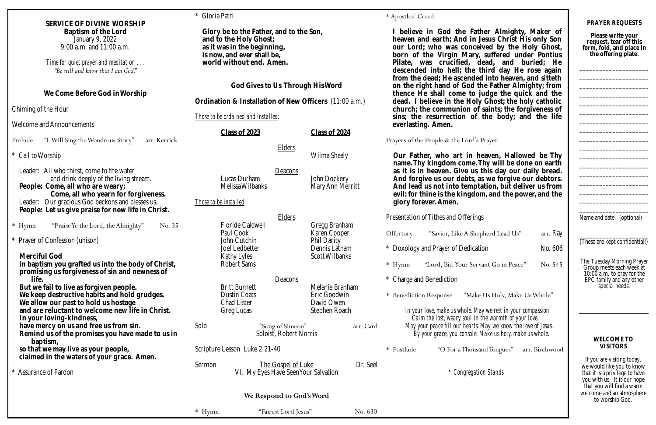|                                                                                                                                                                                                                                                                            | * Gloria Patri                                                                                                                                                                                                                                                                                  |                                                            |                                                                                                                                                                                                                                 | * Apostles' Creed                                                                                                                                                                                                                                                                                                                                                                                                                                                                                                                                                                                                                             |                                                                                                                                                        |                                |
|----------------------------------------------------------------------------------------------------------------------------------------------------------------------------------------------------------------------------------------------------------------------------|-------------------------------------------------------------------------------------------------------------------------------------------------------------------------------------------------------------------------------------------------------------------------------------------------|------------------------------------------------------------|---------------------------------------------------------------------------------------------------------------------------------------------------------------------------------------------------------------------------------|-----------------------------------------------------------------------------------------------------------------------------------------------------------------------------------------------------------------------------------------------------------------------------------------------------------------------------------------------------------------------------------------------------------------------------------------------------------------------------------------------------------------------------------------------------------------------------------------------------------------------------------------------|--------------------------------------------------------------------------------------------------------------------------------------------------------|--------------------------------|
| SERVICE OF DIVINE WORSHIP<br>Baptism of the Lord<br>January 9, 2022<br>9:00 a.m. and 11:00 a.m.<br>Time for quiet prayer and meditation<br>"Be still and know that I am God."                                                                                              | Glory be to the Father, and to the Son,<br>and to the Holy Ghost;<br>as it was in the beginning,<br>is now, and ever shall be,<br>world without end. Amen.<br>God Gives to Us Through His Word<br>Ordination & Installation of New Officers (11:00 a.m.)<br>Those to be ordained and installed: |                                                            |                                                                                                                                                                                                                                 | believe in God the Father Almighty, Maker of<br>heaven and earth; And in Jesus Christ His only Son<br>our Lord; who was conceived by the Holy Ghost,<br>born of the Virgin Mary, suffered under Pontius<br>Pilate, was crucified, dead, and buried; He<br>descended into hell; the third day He rose again<br>from the dead; He ascended into heaven, and sitteth<br>on the right hand of God the Father Almighty; from<br>thence He shall come to judge the quick and the<br>dead. I believe in the Holy Ghost; the holy catholic<br>church; the communion of saints; the forgiveness of<br>sins; the resurrection of the body; and the life |                                                                                                                                                        |                                |
| We Come Before God in Worship<br>Chiming of the Hour                                                                                                                                                                                                                       |                                                                                                                                                                                                                                                                                                 |                                                            |                                                                                                                                                                                                                                 |                                                                                                                                                                                                                                                                                                                                                                                                                                                                                                                                                                                                                                               |                                                                                                                                                        |                                |
| Welcome and Announcements<br>"I Will Sing the Wondrous Story"<br>arr. Kerrick<br>Prelude                                                                                                                                                                                   | Class of 2023                                                                                                                                                                                                                                                                                   |                                                            | Class of 2024                                                                                                                                                                                                                   | everlasting. Amen.<br>Prayers of the People & the Lord's Prayer                                                                                                                                                                                                                                                                                                                                                                                                                                                                                                                                                                               |                                                                                                                                                        |                                |
| * Call to Worship                                                                                                                                                                                                                                                          | <b>Elders</b><br>Wilma Shealy                                                                                                                                                                                                                                                                   |                                                            | Our Father, who art in heaven, Hallowed be Thy<br>name. Thy kingdom come. Thy will be done on earth                                                                                                                             |                                                                                                                                                                                                                                                                                                                                                                                                                                                                                                                                                                                                                                               |                                                                                                                                                        |                                |
| Leader: All who thirst, come to the water<br>and drink deeply of the living stream.<br>People: Come, all who are weary;<br>Come, all who yearn for forgiveness.<br>Leader: Our gracious God beckons and blesses us.<br>People: Let us give praise for new life in Christ.  | Deacons<br>Lucas Durham<br>John Dockery<br>Melissa Wilbanks<br>Mary Ann Merritt<br>Those to be installed:<br>glory forever. Amen.                                                                                                                                                               |                                                            | as it is in heaven. Give us this day our daily bread.<br>And forgive us our debts, as we forgive our debtors.<br>And lead us not into temptation, but deliver us from<br>evil: for thine is the kingdom, and the power, and the |                                                                                                                                                                                                                                                                                                                                                                                                                                                                                                                                                                                                                                               |                                                                                                                                                        |                                |
| "Praise Ye the Lord, the Almighty"<br>$*$ Hymn<br>No. 35                                                                                                                                                                                                                   | Floride Caldwell                                                                                                                                                                                                                                                                                | <b>Elders</b>                                              | Gregg Branham                                                                                                                                                                                                                   | Presentation of Tithes and Offerings                                                                                                                                                                                                                                                                                                                                                                                                                                                                                                                                                                                                          |                                                                                                                                                        |                                |
| * Prayer of Confession (unison)<br>Merciful God<br>in baptism you grafted us into the body of Christ,                                                                                                                                                                      | Paul Cook<br>John Cutchin<br>Joel Ledbetter<br>Kathy Lyles<br>Robert Sams                                                                                                                                                                                                                       |                                                            | Karen Cooper<br>Phil Darity<br>Dennis Latham<br>Scott Wilbanks                                                                                                                                                                  | Offertory<br>$*$ Hymn                                                                                                                                                                                                                                                                                                                                                                                                                                                                                                                                                                                                                         | "Savior, Like A Shepherd Lead Us"<br>* Doxology and Prayer of Dedication<br>"Lord, Bid Your Servant Go in Peace"                                       | arr. Ray<br>No. 606<br>No. 545 |
| promising us forgiveness of sin and newness of<br>life.<br>But we fail to live as forgiven people.<br>We keep destructive habits and hold grudges.<br>We allow our past to hold us hostage<br>and are reluctant to welcome new life in Christ.<br>In your loving-kindness, | <b>Britt Burnett</b><br><b>Dustin Coats</b><br>Chad Lister<br>Greg Lucas                                                                                                                                                                                                                        | Deacons                                                    | Melanie Branham<br>Eric Goodwin<br>David Owen<br>Stephen Roach                                                                                                                                                                  | * Charge and Benediction<br>* Benediction Response                                                                                                                                                                                                                                                                                                                                                                                                                                                                                                                                                                                            | "Make Us Holy, Make Us Whole"<br>In your love, make us whole. May we rest in your compassion.<br>Calm the lost, weary soul in the warmth of your love. |                                |
| have mercy on us and free us from sin.<br>Remind us of the promises you have made to us in<br>baptism,                                                                                                                                                                     | Solo                                                                                                                                                                                                                                                                                            | "Song of Simeon"<br>Soloist, Robert Norris                 | arr. Card                                                                                                                                                                                                                       | May your peace fill our hearts. May we know the love of Jesus.<br>By your grace, you console. Make us holy, make us whole.                                                                                                                                                                                                                                                                                                                                                                                                                                                                                                                    |                                                                                                                                                        |                                |
| so that we may live as your people,<br>claimed in the waters of your grace. Amen.                                                                                                                                                                                          | Scripture Lesson Luke 2:21-40                                                                                                                                                                                                                                                                   |                                                            | * Postlude                                                                                                                                                                                                                      | "O For a Thousand Tongues"                                                                                                                                                                                                                                                                                                                                                                                                                                                                                                                                                                                                                    | arr. Birchwood                                                                                                                                         |                                |
| * Assurance of Pardon                                                                                                                                                                                                                                                      | Sermon                                                                                                                                                                                                                                                                                          | The Gospel of Luke<br>VI. My Eyes Have Seen Your Salvation | Dr. Seel                                                                                                                                                                                                                        |                                                                                                                                                                                                                                                                                                                                                                                                                                                                                                                                                                                                                                               | * Congregation Stands                                                                                                                                  |                                |
|                                                                                                                                                                                                                                                                            |                                                                                                                                                                                                                                                                                                 | We Respond to God's Word                                   |                                                                                                                                                                                                                                 |                                                                                                                                                                                                                                                                                                                                                                                                                                                                                                                                                                                                                                               |                                                                                                                                                        |                                |
|                                                                                                                                                                                                                                                                            | $*$ Hymn                                                                                                                                                                                                                                                                                        | "Fairest Lord Jesus"                                       | No. 630                                                                                                                                                                                                                         |                                                                                                                                                                                                                                                                                                                                                                                                                                                                                                                                                                                                                                               |                                                                                                                                                        |                                |

## Prayer

| herd Lead Us"    | arr. Ray |
|------------------|----------|
| ОN               | No. 606  |
| ant Go in Peace" | No. 545  |

# ke Us Holy, Make Us Whole"

If you are visiting today, we would like you to know that it is a privilege to have you with us. It is our hope that you will find a warm welcome and an atmosphere to worship God.

# sand Tongues" arr. Birchwood

**PRAYER REQUESTS**

**Please write your request, tear off this form, fold, and place in the offering plate.**

\_\_\_\_\_\_\_\_\_\_\_\_\_\_\_\_\_\_\_\_\_ \_\_\_\_\_\_\_\_\_\_\_\_\_\_\_\_\_\_\_\_\_ \_\_\_\_\_\_\_\_\_\_\_\_\_\_\_\_\_\_\_\_\_ \_\_\_\_\_\_\_\_\_\_\_\_\_\_\_\_\_\_\_\_\_ \_\_\_\_\_\_\_\_\_\_\_\_\_\_\_\_\_\_\_\_\_ \_\_\_\_\_\_\_\_\_\_\_\_\_\_\_\_\_\_\_\_\_ \_\_\_\_\_\_\_\_\_\_\_\_\_\_\_\_\_\_\_\_\_ \_\_\_\_\_\_\_\_\_\_\_\_\_\_\_\_\_\_\_\_\_ \_\_\_\_\_\_\_\_\_\_\_\_\_\_\_\_\_\_\_\_\_ \_\_\_\_\_\_\_\_\_\_\_\_\_\_\_\_\_\_\_\_\_ \_\_\_\_\_\_\_\_\_\_\_\_\_\_\_\_\_\_\_\_\_ \_\_\_\_\_\_\_\_\_\_\_\_\_\_\_\_\_\_\_\_\_ \_\_\_\_\_\_\_\_\_\_\_\_\_\_\_\_\_\_\_\_\_ \_\_\_\_\_\_\_\_\_\_\_\_\_\_\_\_\_\_\_\_\_ \_\_\_\_\_\_\_\_\_\_\_\_\_\_\_\_\_\_\_\_\_ \_\_\_\_\_\_\_\_\_\_\_\_\_\_\_\_\_\_\_\_\_ \_\_\_\_\_\_\_\_\_\_\_\_\_\_\_\_\_\_\_\_\_

Name and date: (optional)

\_\_\_\_\_\_\_\_\_\_\_\_\_\_\_\_\_\_\_\_\_ (These are kept confidential!)

The Tuesday Morning Prayer Group meets each week at 10:00 a.m. to pray for the EPC family and any other special needs.

### **WELCOME TO VISITORS**